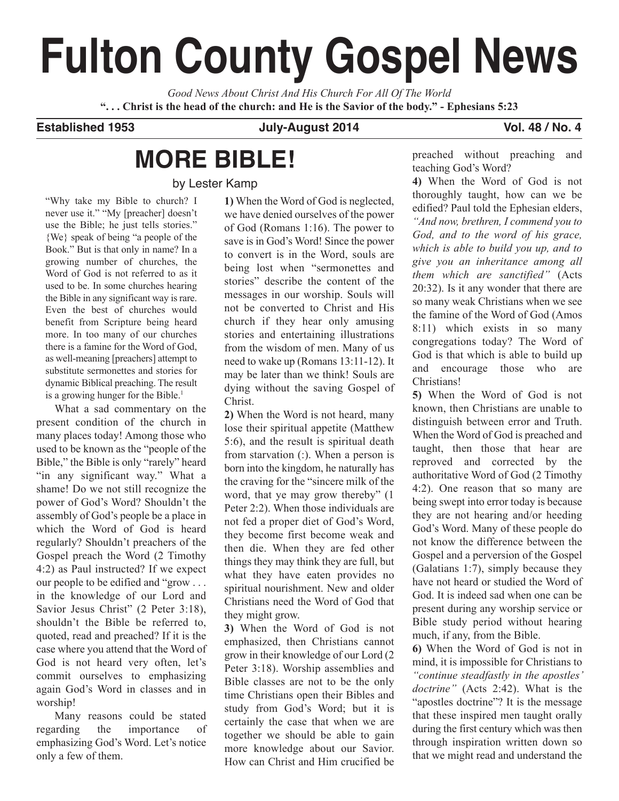# **Fulton County Gospel News**

*Good News About Christ And His Church For All Of The World* "... Christ is the head of the church: and He is the Savior of the body." - Ephesians 5:23

# **Established 1953 July-August 2014 Vol. 48 / No. 4**

# **MORE BIBLE!**

by Lester Kamp

"Why take my Bible to church? I never use it." "My [preacher] doesn't use the Bible; he just tells stories." {We} speak of being "a people of the Book." But is that only in name? In a growing number of churches, the Word of God is not referred to as it used to be. In some churches hearing the Bible in any significant way is rare. Even the best of churches would benefit from Scripture being heard more. In too many of our churches there is a famine for the Word of God, as well-meaning [preachers] attempt to substitute sermonettes and stories for dynamic Biblical preaching. The result is a growing hunger for the Bible. 1

What a sad commentary on the present condition of the church in many places today! Among those who used to be known as the "people of the Bible," the Bible is only "rarely" heard "in any significant way." What a shame! Do we not still recognize the power of God's Word? Shouldn't the assembly of God's people be a place in which the Word of God is heard regularly? Shouldn't preachers of the Gospel preach the Word (2 Timothy 4:2) as Paul instructed? If we expect our people to be edified and "grow . . . in the knowledge of our Lord and Savior Jesus Christ" (2 Peter 3:18), shouldn't the Bible be referred to, quoted, read and preached? If it is the case where you attend that the Word of God is not heard very often, let's commit ourselves to emphasizing again God's Word in classes and in worship!

Many reasons could be stated regarding the importance of emphasizing God's Word. Let's notice only a few of them.

**1)** When the Word of God is neglected, we have denied ourselves of the power of God (Romans 1:16). The power to save is in God's Word! Since the power to convert is in the Word, souls are being lost when "sermonettes and stories" describe the content of the messages in our worship. Souls will not be converted to Christ and His church if they hear only amusing stories and entertaining illustrations from the wisdom of men. Many of us need to wake up (Romans 13:11-12). It may be later than we think! Souls are dying without the saving Gospel of Christ.

**2)** When the Word is not heard, many lose their spiritual appetite (Matthew 5:6), and the result is spiritual death from starvation (:). When a person is born into the kingdom, he naturally has the craving for the "sincere milk of the word, that ye may grow thereby" (1 Peter 2:2). When those individuals are not fed a proper diet of God's Word, they become first become weak and then die. When they are fed other things they may think they are full, but what they have eaten provides no spiritual nourishment. New and older Christians need the Word of God that they might grow.

**3)** When the Word of God is not emphasized, then Christians cannot grow in their knowledge of our Lord (2 Peter 3:18). Worship assemblies and Bible classes are not to be the only time Christians open their Bibles and study from God's Word; but it is certainly the case that when we are together we should be able to gain more knowledge about our Savior. How can Christ and Him crucified be preached without preaching and teaching God's Word?

**4)** When the Word of God is not thoroughly taught, how can we be edified? Paul told the Ephesian elders, *"And now, brethren, I commend you to God, and to the word of his grace, which is able to build you up, and to give you an inheritance among all them which are sanctified"* (Acts 20:32). Is it any wonder that there are so many weak Christians when we see the famine of the Word of God (Amos 8:11) which exists in so many congregations today? The Word of God is that which is able to build up and encourage those who are Christians!

**5)** When the Word of God is not known, then Christians are unable to distinguish between error and Truth. When the Word of God is preached and taught, then those that hear are reproved and corrected by the authoritative Word of God (2 Timothy 4:2). One reason that so many are being swept into error today is because they are not hearing and/or heeding God's Word. Many of these people do not know the difference between the Gospel and a perversion of the Gospel (Galatians 1:7), simply because they have not heard or studied the Word of God. It is indeed sad when one can be present during any worship service or Bible study period without hearing much, if any, from the Bible.

**6)** When the Word of God is not in mind, it is impossible for Christians to *"continue steadfastly in the apostles' doctrine"* (Acts 2:42). What is the "apostles doctrine"? It is the message that these inspired men taught orally during the first century which was then through inspiration written down so that we might read and understand the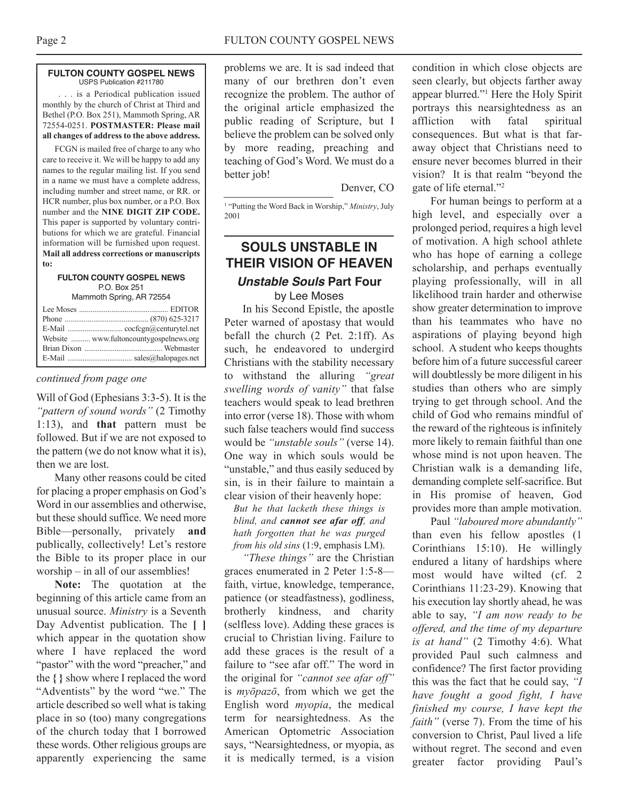## **FULTON COUNTY GOSPEL NEWS** USPS Publication #211780

. . . is a Periodical publication issued monthly by the church of Christ at Third and Bethel (P.O. Box 251), Mammoth Spring, AR 72554-0251. **POSTMASTER: Please mail all changes of address to the above address.**

FCGN is mailed free of charge to any who care to receive it. We will be happy to add any names to the regular mailing list. If you send in a name we must have a complete address, including number and street name, or RR. or HCR number, plus box number, or a P.O. Box number and the **NINE DIGIT ZIP CODE.** This paper is supported by voluntary contributions for which we are grateful. Financial information will be furnished upon request. **Mail all address corrections or manuscripts to:**

## **FULTON COUNTY GOSPEL NEWS** P.O. Box 251 Mammoth Spring, AR 72554

| Website  www.fultoncountygospelnews.org |
|-----------------------------------------|
|                                         |
|                                         |

# *continued from page one*

Will of God (Ephesians 3:3-5). It is the *"pattern of sound words"* (2 Timothy 1:13), and **that** pattern must be followed. But if we are not exposed to the pattern (we do not know what it is), then we are lost.

Many other reasons could be cited for placing a proper emphasis on God's Word in our assemblies and otherwise, but these should suffice. We need more Bible—personally, privately **and** publically, collectively! Let's restore the Bible to its proper place in our worship – in all of our assemblies!

**Note:** The quotation at the beginning of this article came from an unusual source. *Ministry* is a Seventh Day Adventist publication. The **[ ]** which appear in the quotation show where I have replaced the word "pastor" with the word "preacher," and the **{ }** show where I replaced the word "Adventists" by the word "we." The article described so well what is taking place in so (too) many congregations of the church today that I borrowed these words. Other religious groups are apparently experiencing the same

problems we are. It is sad indeed that many of our brethren don't even recognize the problem. The author of the original article emphasized the public reading of Scripture, but I believe the problem can be solved only by more reading, preaching and teaching of God's Word. We must do a better job!

Denver, CO

<sup>1</sup> "Putting the Word Back in Worship," *Ministry*, July 2001

# **SOULS UNSTABLE IN ThEIR VISION OF hEAVEN**

# **Unstable Souls Part Four** by Lee Moses

In his Second Epistle, the apostle Peter warned of apostasy that would befall the church (2 Pet. 2:1ff). As such, he endeavored to undergird Christians with the stability necessary to withstand the alluring *"great swelling words of vanity"* that false teachers would speak to lead brethren into error (verse 18). Those with whom such false teachers would find success would be *"unstable souls"* (verse 14). One way in which souls would be "unstable," and thus easily seduced by sin, is in their failure to maintain a clear vision of their heavenly hope:

*But he that lacketh these things is blind, and cannot see afar off, and hath forgotten that he was purged from his old sins* (1:9, emphasis LM).

*"These things"* are the Christian graces enumerated in 2 Peter 1:5-8 faith, virtue, knowledge, temperance, patience (or steadfastness), godliness, brotherly kindness, and charity (selfless love). Adding these graces is crucial to Christian living. Failure to add these graces is the result of a failure to "see afar off." The word in the original for *"cannot see afar off"* is *myōpazō*, from which we get the English word *myopia*, the medical term for nearsightedness. As the American Optometric Association says, "Nearsightedness, or myopia, as it is medically termed, is a vision

condition in which close objects are seen clearly, but objects farther away appear blurred."1 Here the Holy Spirit portrays this nearsightedness as an affliction with fatal spiritual consequences. But what is that faraway object that Christians need to ensure never becomes blurred in their vision? It is that realm "beyond the gate of life eternal."2

For human beings to perform at a high level, and especially over a prolonged period, requires a high level of motivation. A high school athlete who has hope of earning a college scholarship, and perhaps eventually playing professionally, will in all likelihood train harder and otherwise show greater determination to improve than his teammates who have no aspirations of playing beyond high school. A student who keeps thoughts before him of a future successful career will doubtlessly be more diligent in his studies than others who are simply trying to get through school. And the child of God who remains mindful of the reward of the righteous is infinitely more likely to remain faithful than one whose mind is not upon heaven. The Christian walk is a demanding life, demanding complete self-sacrifice. But in His promise of heaven, God provides more than ample motivation.

Paul *"laboured more abundantly"* than even his fellow apostles (1 Corinthians 15:10). He willingly endured a litany of hardships where most would have wilted (cf. 2 Corinthians 11:23-29). Knowing that his execution lay shortly ahead, he was able to say, *"I am now ready to be offered, and the time of my departure is at hand"* (2 Timothy 4:6). What provided Paul such calmness and confidence? The first factor providing this was the fact that he could say, *"I have fought a good fight, I have finished my course, I have kept the faith"* (verse 7). From the time of his conversion to Christ, Paul lived a life without regret. The second and even greater factor providing Paul's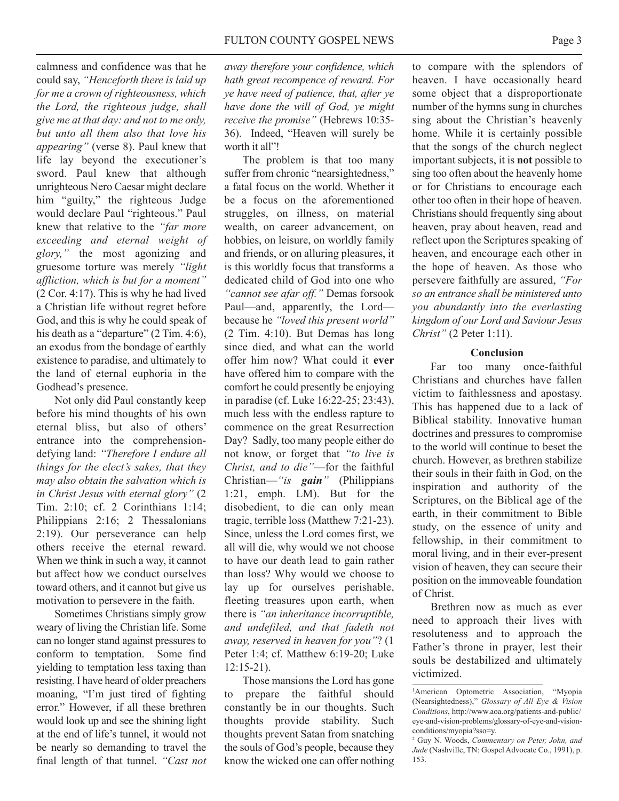calmness and confidence was that he could say, *"Henceforth there is laid up for me a crown of righteousness, which the Lord, the righteous judge, shall give me at that day: and not to me only, but unto all them also that love his appearing"* (verse 8). Paul knew that life lay beyond the executioner's sword. Paul knew that although unrighteous Nero Caesar might declare him "guilty," the righteous Judge would declare Paul "righteous." Paul knew that relative to the *"far more exceeding and eternal weight of glory,"* the most agonizing and gruesome torture was merely *"light affliction, which is but for a moment"* (2 Cor. 4:17). This is why he had lived a Christian life without regret before God, and this is why he could speak of his death as a "departure" (2 Tim. 4:6), an exodus from the bondage of earthly existence to paradise, and ultimately to the land of eternal euphoria in the Godhead's presence.

Not only did Paul constantly keep before his mind thoughts of his own eternal bliss, but also of others' entrance into the comprehensiondefying land: *"Therefore I endure all things for the elect's sakes, that they may also obtain the salvation which is in Christ Jesus with eternal glory"* (2 Tim. 2:10; cf. 2 Corinthians 1:14; Philippians 2:16; 2 Thessalonians 2:19). Our perseverance can help others receive the eternal reward. When we think in such a way, it cannot but affect how we conduct ourselves toward others, and it cannot but give us motivation to persevere in the faith.

Sometimes Christians simply grow weary of living the Christian life. Some can no longer stand against pressures to conform to temptation. Some find yielding to temptation less taxing than resisting. I have heard of older preachers moaning, "I'm just tired of fighting error." However, if all these brethren would look up and see the shining light at the end of life's tunnel, it would not be nearly so demanding to travel the final length of that tunnel. *"Cast not*

*away therefore your confidence, which hath great recompence of reward. For ye have need of patience, that, after ye have done the will of God, ye might receive the promise"* (Hebrews 10:35- 36). Indeed, "Heaven will surely be worth it all"!

The problem is that too many suffer from chronic "nearsightedness," a fatal focus on the world. Whether it be a focus on the aforementioned struggles, on illness, on material wealth, on career advancement, on hobbies, on leisure, on worldly family and friends, or on alluring pleasures, it is this worldly focus that transforms a dedicated child of God into one who *"cannot see afar off."* Demas forsook Paul—and, apparently, the Lord because he *"loved this present world"* (2 Tim. 4:10). But Demas has long since died, and what can the world offer him now? What could it **ever** have offered him to compare with the comfort he could presently be enjoying in paradise (cf. Luke 16:22-25; 23:43), much less with the endless rapture to commence on the great Resurrection Day? Sadly, too many people either do not know, or forget that *"to live is Christ, and to die"*—for the faithful Christian—*"is gain"* (Philippians 1:21, emph. LM). But for the disobedient, to die can only mean tragic, terrible loss (Matthew 7:21-23). Since, unless the Lord comes first, we all will die, why would we not choose to have our death lead to gain rather than loss? Why would we choose to lay up for ourselves perishable, fleeting treasures upon earth, when there is *"an inheritance incorruptible, and undefiled, and that fadeth not away, reserved in heaven for you"*? (1 Peter 1:4; cf. Matthew 6:19-20; Luke 12:15-21).

Those mansions the Lord has gone to prepare the faithful should constantly be in our thoughts. Such thoughts provide stability. Such thoughts prevent Satan from snatching the souls of God's people, because they know the wicked one can offer nothing

to compare with the splendors of heaven. I have occasionally heard some object that a disproportionate number of the hymns sung in churches sing about the Christian's heavenly home. While it is certainly possible that the songs of the church neglect important subjects, it is **not** possible to sing too often about the heavenly home or for Christians to encourage each other too often in their hope of heaven. Christians should frequently sing about heaven, pray about heaven, read and reflect upon the Scriptures speaking of heaven, and encourage each other in the hope of heaven. As those who persevere faithfully are assured, *"For so an entrance shall be ministered unto you abundantly into the everlasting kingdom of our Lord and Saviour Jesus Christ"* (2 Peter 1:11).

# **Conclusion**

Far too many once-faithful Christians and churches have fallen victim to faithlessness and apostasy. This has happened due to a lack of Biblical stability. Innovative human doctrines and pressures to compromise to the world will continue to beset the church. However, as brethren stabilize their souls in their faith in God, on the inspiration and authority of the Scriptures, on the Biblical age of the earth, in their commitment to Bible study, on the essence of unity and fellowship, in their commitment to moral living, and in their ever-present vision of heaven, they can secure their position on the immoveable foundation of Christ.

Brethren now as much as ever need to approach their lives with resoluteness and to approach the Father's throne in prayer, lest their souls be destabilized and ultimately victimized.

<sup>&</sup>lt;sup>1</sup>American Optometric Association, "Myopia (Nearsightedness)," *Glossary of All Eye & Vision Conditions*, http://www.aoa.org/patients-and-public/ eye-and-vision-problems/glossary-of-eye-and-visionconditions/myopia?sso=y.

<sup>2</sup> Guy N. Woods, *Commentary on Peter, John, and Jude* (Nashville, TN: Gospel Advocate Co., 1991), p. 153.